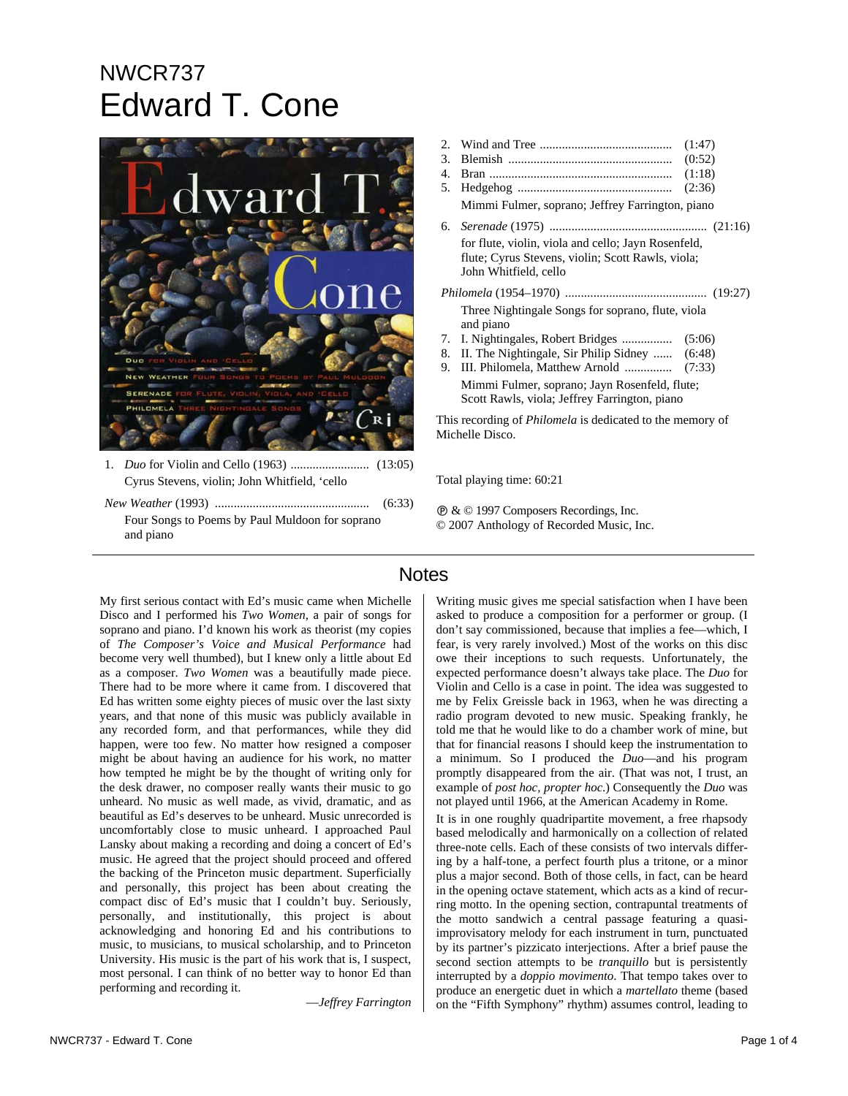# NWCR737 Edward T. Cone



Cyrus Stevens, violin; John Whitfield, 'cello

*New Weather* (1993) ................................................. (6:33) Four Songs to Poems by Paul Muldoon for soprano and piano

- 2. Wind and Tree .......................................... (1:47)
- 3. Blemish .................................................... (0:52)
- 4. Bran .......................................................... (1:18) 5. Hedgehog ................................................. (2:36)
- Mimmi Fulmer, soprano; Jeffrey Farrington, piano
- 6. *Serenade* (1975) .................................................. (21:16) for flute, violin, viola and cello; Jayn Rosenfeld, flute; Cyrus Stevens, violin; Scott Rawls, viola; John Whitfield, cello

*Philomela* (1954–1970) ............................................. (19:27) Three Nightingale Songs for soprano, flute, viola and piano

- 7. I. Nightingales, Robert Bridges ................ (5:06)
- 8. II. The Nightingale, Sir Philip Sidney ...... (6:48)
- 9. III. Philomela, Matthew Arnold *...............* (7:33) Mimmi Fulmer, soprano; Jayn Rosenfeld, flute; Scott Rawls, viola; Jeffrey Farrington, piano

This recording of *Philomela* is dedicated to the memory of Michelle Disco.

Total playing time: 60:21

Ê & © 1997 Composers Recordings, Inc. © 2007 Anthology of Recorded Music, Inc.

## Notes

My first serious contact with Ed's music came when Michelle Disco and I performed his *Two Women*, a pair of songs for soprano and piano. I'd known his work as theorist (my copies of *The Composer's Voice and Musical Performance* had become very well thumbed), but I knew only a little about Ed as a composer. *Two Women* was a beautifully made piece. There had to be more where it came from. I discovered that Ed has written some eighty pieces of music over the last sixty years, and that none of this music was publicly available in any recorded form, and that performances, while they did happen, were too few. No matter how resigned a composer might be about having an audience for his work, no matter how tempted he might be by the thought of writing only for the desk drawer, no composer really wants their music to go unheard. No music as well made, as vivid, dramatic, and as beautiful as Ed's deserves to be unheard. Music unrecorded is uncomfortably close to music unheard. I approached Paul Lansky about making a recording and doing a concert of Ed's music. He agreed that the project should proceed and offered the backing of the Princeton music department. Superficially and personally, this project has been about creating the compact disc of Ed's music that I couldn't buy. Seriously, personally, and institutionally, this project is about acknowledging and honoring Ed and his contributions to music, to musicians, to musical scholarship, and to Princeton University. His music is the part of his work that is, I suspect, most personal. I can think of no better way to honor Ed than performing and recording it.

—*Jeffrey Farrington*

Writing music gives me special satisfaction when I have been asked to produce a composition for a performer or group. (I don't say commissioned, because that implies a fee—which, I fear, is very rarely involved.) Most of the works on this disc owe their inceptions to such requests. Unfortunately, the expected performance doesn't always take place. The *Duo* for Violin and Cello is a case in point. The idea was suggested to me by Felix Greissle back in 1963, when he was directing a radio program devoted to new music. Speaking frankly, he told me that he would like to do a chamber work of mine, but that for financial reasons I should keep the instrumentation to a minimum. So I produced the *Duo*—and his program promptly disappeared from the air. (That was not, I trust, an example of *post hoc, propter hoc*.) Consequently the *Duo* was not played until 1966, at the American Academy in Rome.

It is in one roughly quadripartite movement, a free rhapsody based melodically and harmonically on a collection of related three-note cells. Each of these consists of two intervals differing by a half-tone, a perfect fourth plus a tritone, or a minor plus a major second. Both of those cells, in fact, can be heard in the opening octave statement, which acts as a kind of recurring motto. In the opening section, contrapuntal treatments of the motto sandwich a central passage featuring a quasiimprovisatory melody for each instrument in turn, punctuated by its partner's pizzicato interjections. After a brief pause the second section attempts to be *tranquillo* but is persistently interrupted by a *doppio movimento*. That tempo takes over to produce an energetic duet in which a *martellato* theme (based on the "Fifth Symphony" rhythm) assumes control, leading to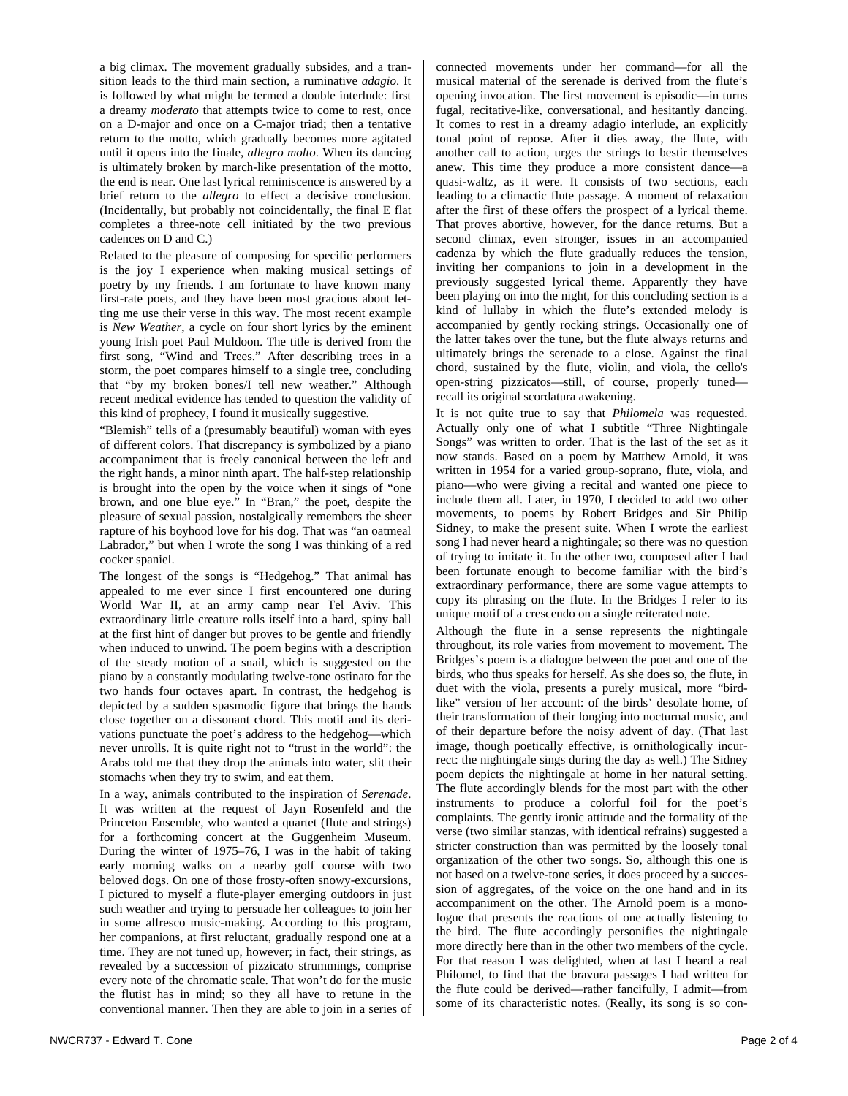a big climax. The movement gradually subsides, and a transition leads to the third main section, a ruminative *adagio*. It is followed by what might be termed a double interlude: first a dreamy *moderato* that attempts twice to come to rest, once on a D-major and once on a C-major triad; then a tentative return to the motto, which gradually becomes more agitated until it opens into the finale, *allegro molto*. When its dancing is ultimately broken by march-like presentation of the motto, the end is near. One last lyrical reminiscence is answered by a brief return to the *allegro* to effect a decisive conclusion. (Incidentally, but probably not coincidentally, the final E flat completes a three-note cell initiated by the two previous cadences on D and C.)

Related to the pleasure of composing for specific performers is the joy I experience when making musical settings of poetry by my friends. I am fortunate to have known many first-rate poets, and they have been most gracious about letting me use their verse in this way. The most recent example is *New Weather*, a cycle on four short lyrics by the eminent young Irish poet Paul Muldoon. The title is derived from the first song, "Wind and Trees." After describing trees in a storm, the poet compares himself to a single tree, concluding that "by my broken bones/I tell new weather." Although recent medical evidence has tended to question the validity of this kind of prophecy, I found it musically suggestive.

"Blemish" tells of a (presumably beautiful) woman with eyes of different colors. That discrepancy is symbolized by a piano accompaniment that is freely canonical between the left and the right hands, a minor ninth apart. The half-step relationship is brought into the open by the voice when it sings of "one brown, and one blue eye." In "Bran," the poet, despite the pleasure of sexual passion, nostalgically remembers the sheer rapture of his boyhood love for his dog. That was "an oatmeal Labrador," but when I wrote the song I was thinking of a red cocker spaniel.

The longest of the songs is "Hedgehog." That animal has appealed to me ever since I first encountered one during World War II, at an army camp near Tel Aviv. This extraordinary little creature rolls itself into a hard, spiny ball at the first hint of danger but proves to be gentle and friendly when induced to unwind. The poem begins with a description of the steady motion of a snail, which is suggested on the piano by a constantly modulating twelve-tone ostinato for the two hands four octaves apart. In contrast, the hedgehog is depicted by a sudden spasmodic figure that brings the hands close together on a dissonant chord. This motif and its derivations punctuate the poet's address to the hedgehog—which never unrolls. It is quite right not to "trust in the world": the Arabs told me that they drop the animals into water, slit their stomachs when they try to swim, and eat them.

In a way, animals contributed to the inspiration of *Serenade*. It was written at the request of Jayn Rosenfeld and the Princeton Ensemble, who wanted a quartet (flute and strings) for a forthcoming concert at the Guggenheim Museum. During the winter of 1975–76, I was in the habit of taking early morning walks on a nearby golf course with two beloved dogs. On one of those frosty-often snowy-excursions, I pictured to myself a flute-player emerging outdoors in just such weather and trying to persuade her colleagues to join her in some alfresco music-making. According to this program, her companions, at first reluctant, gradually respond one at a time. They are not tuned up, however; in fact, their strings, as revealed by a succession of pizzicato strummings, comprise every note of the chromatic scale. That won't do for the music the flutist has in mind; so they all have to retune in the conventional manner. Then they are able to join in a series of connected movements under her command—for all the musical material of the serenade is derived from the flute's opening invocation. The first movement is episodic—in turns fugal, recitative-like, conversational, and hesitantly dancing. It comes to rest in a dreamy adagio interlude, an explicitly tonal point of repose. After it dies away, the flute, with another call to action, urges the strings to bestir themselves anew. This time they produce a more consistent dance—a quasi-waltz, as it were. It consists of two sections, each leading to a climactic flute passage. A moment of relaxation after the first of these offers the prospect of a lyrical theme. That proves abortive, however, for the dance returns. But a second climax, even stronger, issues in an accompanied cadenza by which the flute gradually reduces the tension, inviting her companions to join in a development in the previously suggested lyrical theme. Apparently they have been playing on into the night, for this concluding section is a kind of lullaby in which the flute's extended melody is accompanied by gently rocking strings. Occasionally one of the latter takes over the tune, but the flute always returns and ultimately brings the serenade to a close. Against the final chord, sustained by the flute, violin, and viola, the cello's open-string pizzicatos—still, of course, properly tuned recall its original scordatura awakening.

It is not quite true to say that *Philomela* was requested. Actually only one of what I subtitle "Three Nightingale Songs" was written to order. That is the last of the set as it now stands. Based on a poem by Matthew Arnold, it was written in 1954 for a varied group-soprano, flute, viola, and piano—who were giving a recital and wanted one piece to include them all. Later, in 1970, I decided to add two other movements, to poems by Robert Bridges and Sir Philip Sidney, to make the present suite. When I wrote the earliest song I had never heard a nightingale; so there was no question of trying to imitate it. In the other two, composed after I had been fortunate enough to become familiar with the bird's extraordinary performance, there are some vague attempts to copy its phrasing on the flute. In the Bridges I refer to its unique motif of a crescendo on a single reiterated note.

Although the flute in a sense represents the nightingale throughout, its role varies from movement to movement. The Bridges's poem is a dialogue between the poet and one of the birds, who thus speaks for herself. As she does so, the flute, in duet with the viola, presents a purely musical, more "birdlike" version of her account: of the birds' desolate home, of their transformation of their longing into nocturnal music, and of their departure before the noisy advent of day. (That last image, though poetically effective, is ornithologically incurrect: the nightingale sings during the day as well.) The Sidney poem depicts the nightingale at home in her natural setting. The flute accordingly blends for the most part with the other instruments to produce a colorful foil for the poet's complaints. The gently ironic attitude and the formality of the verse (two similar stanzas, with identical refrains) suggested a stricter construction than was permitted by the loosely tonal organization of the other two songs. So, although this one is not based on a twelve-tone series, it does proceed by a succession of aggregates, of the voice on the one hand and in its accompaniment on the other. The Arnold poem is a monologue that presents the reactions of one actually listening to the bird. The flute accordingly personifies the nightingale more directly here than in the other two members of the cycle. For that reason I was delighted, when at last I heard a real Philomel, to find that the bravura passages I had written for the flute could be derived—rather fancifully, I admit—from some of its characteristic notes. (Really, its song is so con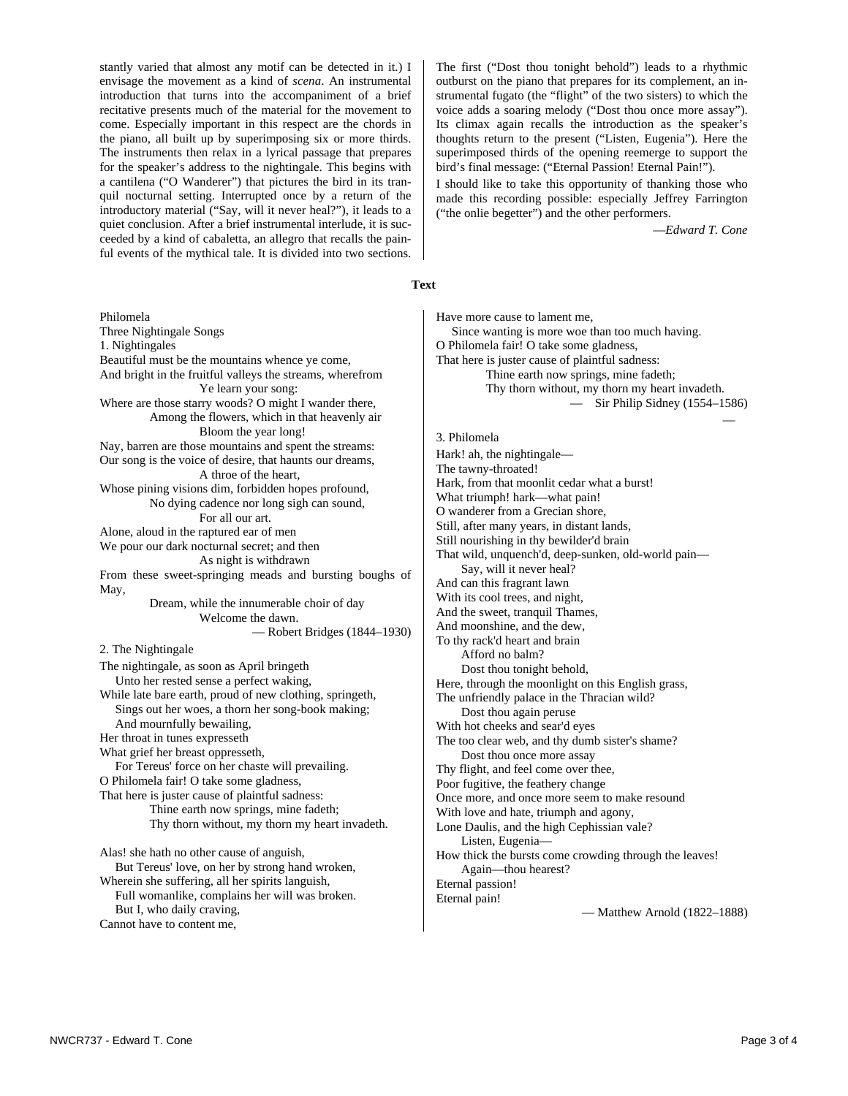stantly varied that almost any motif can be detected in it.) I envisage the movement as a kind of *scena*. An instrumental introduction that turns into the accompaniment of a brief recitative presents much of the material for the movement to come. Especially important in this respect are the chords in the piano, all built up by superimposing six or more thirds. The instruments then relax in a lyrical passage that prepares for the speaker's address to the nightingale. This begins with a cantilena ("O Wanderer") that pictures the bird in its tranquil nocturnal setting. Interrupted once by a return of the introductory material ("Say, will it never heal?"), it leads to a quiet conclusion. After a brief instrumental interlude, it is succeeded by a kind of cabaletta, an allegro that recalls the painful events of the mythical tale. It is divided into two sections.

Philomela Three Nightingale Songs 1. Nightingales Beautiful must be the mountains whence ye come, And bright in the fruitful valleys the streams, wherefrom Ye learn your song: Where are those starry woods? O might I wander there, Among the flowers, which in that heavenly air Bloom the year long! Nay, barren are those mountains and spent the streams: Our song is the voice of desire, that haunts our dreams, A throe of the heart, Whose pining visions dim, forbidden hopes profound, No dying cadence nor long sigh can sound, For all our art. Alone, aloud in the raptured ear of men We pour our dark nocturnal secret; and then As night is withdrawn From these sweet-springing meads and bursting boughs of May, Dream, while the innumerable choir of day Welcome the dawn. — Robert Bridges (1844–1930) 2. The Nightingale The nightingale, as soon as April bringeth Unto her rested sense a perfect waking, While late bare earth, proud of new clothing, springeth, Sings out her woes, a thorn her song-book making; And mournfully bewailing, Her throat in tunes expresseth What grief her breast oppresseth, For Tereus' force on her chaste will prevailing. O Philomela fair! O take some gladness, That here is juster cause of plaintful sadness: Thine earth now springs, mine fadeth; Thy thorn without, my thorn my heart invadeth. Alas! she hath no other cause of anguish, But Tereus' love, on her by strong hand wroken, Wherein she suffering, all her spirits languish, Full womanlike, complains her will was broken. But I, who daily craving,

Cannot have to content me,

The first ("Dost thou tonight behold") leads to a rhythmic outburst on the piano that prepares for its complement, an instrumental fugato (the "flight" of the two sisters) to which the voice adds a soaring melody ("Dost thou once more assay"). Its climax again recalls the introduction as the speaker's thoughts return to the present ("Listen, Eugenia"). Here the superimposed thirds of the opening reemerge to support the bird's final message: ("Eternal Passion! Eternal Pain!").

I should like to take this opportunity of thanking those who made this recording possible: especially Jeffrey Farrington ("the onlie begetter") and the other performers.

—*Edward T. Cone*

### **Text**

Have more cause to lament me, Since wanting is more woe than too much having. O Philomela fair! O take some gladness, That here is juster cause of plaintful sadness: Thine earth now springs, mine fadeth; Thy thorn without, my thorn my heart invadeth. — Sir Philip Sidney (1554–1586) —

### 3. Philomela

Hark! ah, the nightingale— The tawny-throated! Hark, from that moonlit cedar what a burst! What triumph! hark—what pain! O wanderer from a Grecian shore, Still, after many years, in distant lands, Still nourishing in thy bewilder'd brain That wild, unquench'd, deep-sunken, old-world pain— Say, will it never heal? And can this fragrant lawn With its cool trees, and night, And the sweet, tranquil Thames, And moonshine, and the dew, To thy rack'd heart and brain Afford no balm? Dost thou tonight behold, Here, through the moonlight on this English grass, The unfriendly palace in the Thracian wild? Dost thou again peruse With hot cheeks and sear'd eyes The too clear web, and thy dumb sister's shame? Dost thou once more assay Thy flight, and feel come over thee, Poor fugitive, the feathery change Once more, and once more seem to make resound With love and hate, triumph and agony, Lone Daulis, and the high Cephissian vale? Listen, Eugenia— How thick the bursts come crowding through the leaves! Again—thou hearest? Eternal passion! Eternal pain!

— Matthew Arnold (1822–1888)